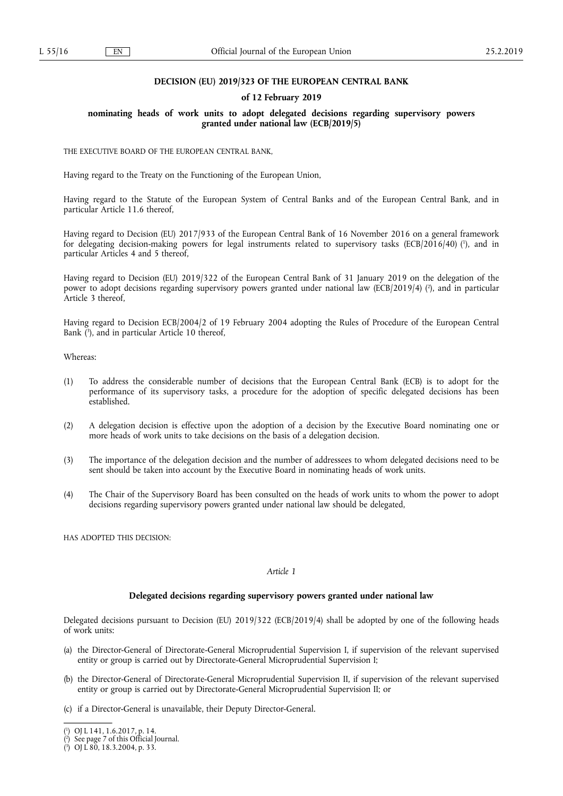## **DECISION (EU) 2019/323 OF THE EUROPEAN CENTRAL BANK**

#### **of 12 February 2019**

### **nominating heads of work units to adopt delegated decisions regarding supervisory powers granted under national law (ECB/2019/5)**

THE EXECUTIVE BOARD OF THE EUROPEAN CENTRAL BANK,

Having regard to the Treaty on the Functioning of the European Union,

Having regard to the Statute of the European System of Central Banks and of the European Central Bank, and in particular Article 11.6 thereof,

Having regard to Decision (EU) 2017/933 of the European Central Bank of 16 November 2016 on a general framework for delegating decision-making powers for legal instruments related to supervisory tasks (ECB/2016/40) ( 1 ), and in particular Articles 4 and 5 thereof,

Having regard to Decision (EU) 2019/322 of the European Central Bank of 31 January 2019 on the delegation of the power to adopt decisions regarding supervisory powers granted under national law (ECB/2019/4) ( 2 ), and in particular Article 3 thereof,

Having regard to Decision ECB/2004/2 of 19 February 2004 adopting the Rules of Procedure of the European Central Bank ( 3 ), and in particular Article 10 thereof,

Whereas:

- (1) To address the considerable number of decisions that the European Central Bank (ECB) is to adopt for the performance of its supervisory tasks, a procedure for the adoption of specific delegated decisions has been established.
- (2) A delegation decision is effective upon the adoption of a decision by the Executive Board nominating one or more heads of work units to take decisions on the basis of a delegation decision.
- (3) The importance of the delegation decision and the number of addressees to whom delegated decisions need to be sent should be taken into account by the Executive Board in nominating heads of work units.
- (4) The Chair of the Supervisory Board has been consulted on the heads of work units to whom the power to adopt decisions regarding supervisory powers granted under national law should be delegated,

HAS ADOPTED THIS DECISION:

#### *Article 1*

#### **Delegated decisions regarding supervisory powers granted under national law**

Delegated decisions pursuant to Decision (EU) 2019/322 (ECB/2019/4) shall be adopted by one of the following heads of work units:

- (a) the Director-General of Directorate-General Microprudential Supervision I, if supervision of the relevant supervised entity or group is carried out by Directorate-General Microprudential Supervision I;
- (b) the Director-General of Directorate-General Microprudential Supervision II, if supervision of the relevant supervised entity or group is carried out by Directorate-General Microprudential Supervision II; or
- (c) if a Director-General is unavailable, their Deputy Director-General.

<sup>(</sup> 1 ) OJ L 141, 1.6.2017, p. 14.

<sup>(</sup> 2 ) See page 7 of this Official Journal.

<sup>(</sup> 3 ) OJ L 80, 18.3.2004, p. 33.